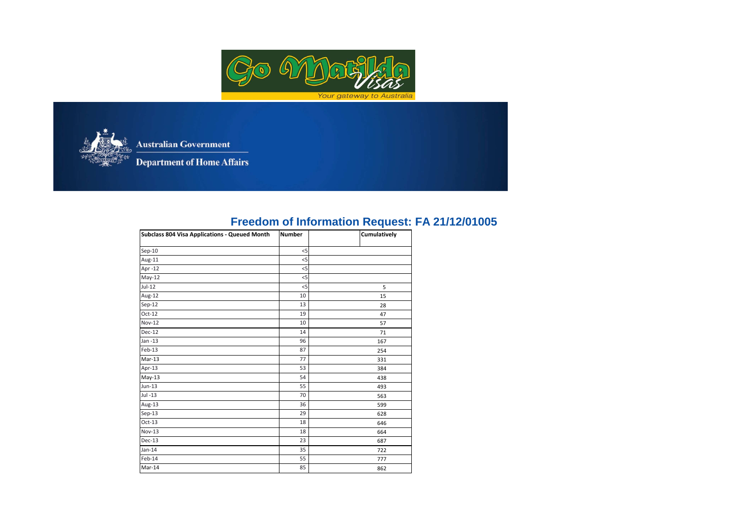



**Australian Government** 

**Department of Home Affairs** 

## **Freedom of Information Request: FA 21/12/01005**

| <b>Subclass 804 Visa Applications - Queued Month</b> | <b>Number</b> | Cumulatively |
|------------------------------------------------------|---------------|--------------|
| $Sep-10$                                             | $<$ 5         |              |
| Aug-11                                               | $<$ 5         |              |
| Apr -12                                              | 5             |              |
| $May-12$                                             | $<$ 5         |              |
| $Jul-12$                                             | $<$ 5         | 5            |
| Aug-12                                               | 10            | 15           |
| $Sep-12$                                             | 13            | 28           |
| $Oct-12$                                             | 19            | 47           |
| <b>Nov-12</b>                                        | 10            | 57           |
| $Dec-12$                                             | 14            | 71           |
| $Jan -13$                                            | 96            | 167          |
| Feb-13                                               | 87            | 254          |
| $Mar-13$                                             | 77            | 331          |
| Apr-13                                               | 53            | 384          |
| $May-13$                                             | 54            | 438          |
| $Jun-13$                                             | 55            | 493          |
| Jul -13                                              | 70            | 563          |
| Aug-13                                               | 36            | 599          |
| $Sep-13$                                             | 29            | 628          |
| $Oct-13$                                             | 18            | 646          |
| <b>Nov-13</b>                                        | 18            | 664          |
| $Dec-13$                                             | 23            | 687          |
| $Jan-14$                                             | 35            | 722          |
| Feb-14                                               | 55            | 777          |
| Mar-14                                               | 85            | 862          |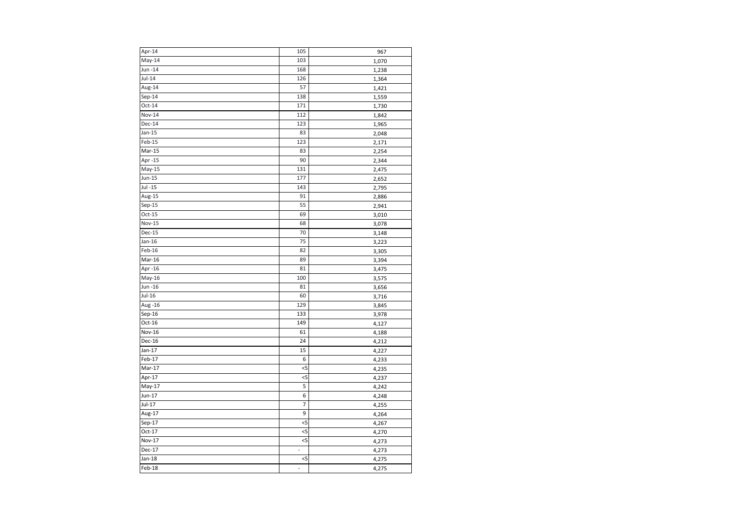| Apr-14        | 105            | 967   |
|---------------|----------------|-------|
| $May-14$      | 103            | 1,070 |
| Jun -14       | 168            | 1,238 |
| $Jul-14$      | 126            | 1,364 |
| Aug-14        | 57             | 1,421 |
| $Sep-14$      | 138            | 1,559 |
| $Oct-14$      | 171            | 1,730 |
| Nov-14        | 112            | 1,842 |
| Dec-14        | 123            | 1,965 |
| $Jan-15$      | 83             | 2,048 |
| Feb-15        | 123            | 2,171 |
| Mar-15        | 83             | 2,254 |
| Apr -15       | 90             | 2,344 |
| May-15        | 131            | 2,475 |
| Jun-15        | 177            | 2,652 |
| $Jul -15$     | 143            | 2,795 |
| Aug-15        | 91             | 2,886 |
| $Sep-15$      | 55             | 2,941 |
| $Oct-15$      | 69             | 3,010 |
| <b>Nov-15</b> | 68             | 3,078 |
| Dec-15        | 70             | 3,148 |
| $Jan-16$      | 75             | 3,223 |
| Feb-16        | 82             | 3,305 |
| Mar-16        | 89             | 3,394 |
| Apr-16        | 81             | 3,475 |
| May-16        | 100            | 3,575 |
| Jun -16       | 81             | 3,656 |
| $Jul-16$      | 60             | 3,716 |
| Aug -16       | 129            | 3,845 |
| $Sep-16$      | 133            | 3,978 |
| $Oct-16$      | 149            | 4,127 |
| <b>Nov-16</b> | 61             | 4,188 |
| Dec-16        | 24             | 4,212 |
| $Jan-17$      | 15             | 4,227 |
| Feb-17        | 6              | 4,233 |
| Mar-17        | $<$ 5          | 4,235 |
| Apr-17        | $<$ 5          | 4,237 |
| $May-17$      | 5              | 4,242 |
| Jun-17        | 6              | 4,248 |
| $Jul-17$      | $\overline{7}$ | 4,255 |
| Aug-17        | 9              | 4,264 |
| $Sep-17$      | $<$ 5          | 4,267 |
| Oct-17        | 5              | 4,270 |
| Nov-17        | $<$ 5          | 4,273 |
| Dec-17        | $\overline{a}$ | 4,273 |
| $Jan-18$      | $<$ 5          | 4,275 |
| Feb-18        | -              | 4,275 |
|               |                |       |